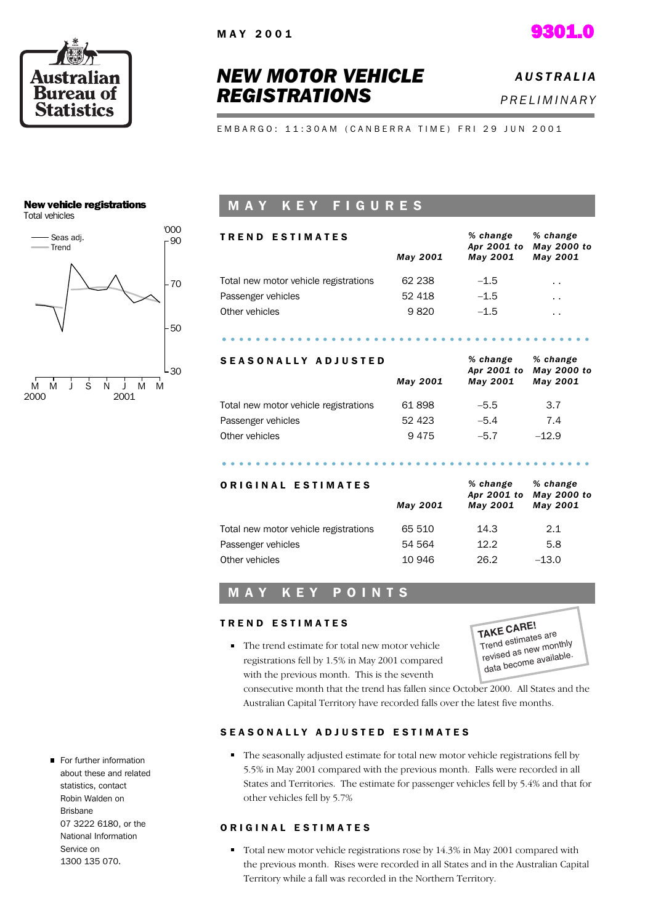



# *NEW MOTOR VEHICLE REGISTRATIONS*

# *A U S T R A L I A P R E L I M I N A R Y*

E M B A R G O : 11:30 A M ( C A N B E R R A T I M E ) F R I 29 J U N 2001

## New vehicle registrations

Total vehicles



## M A Y K E Y F I G U R E S

| <b>TREND ESTIMATES</b>                |          | % change<br>Apr 2001 to | % change<br>May 2000 to |
|---------------------------------------|----------|-------------------------|-------------------------|
|                                       | May 2001 | May 2001                | May 2001                |
| Total new motor vehicle registrations | 62 238   | $-1.5$                  | $\cdot$ .               |
| Passenger vehicles                    | 52 418   | $-1.5$                  | $\cdot$ .               |
| Other vehicles                        | 9820     | $-1.5$                  | $\cdot$ .               |
|                                       |          |                         |                         |
| .                                     |          | $0/$ abouts             | $0/1$ also and $\sim$   |

| SEASONALLY ADJUSIED                   |          | % cnange<br>May 2000 to |          |
|---------------------------------------|----------|-------------------------|----------|
|                                       | May 2001 | Apr 2001 to<br>May 2001 | May 2001 |
| Total new motor vehicle registrations | 61898    | $-5.5$                  | 3.7      |
| Passenger vehicles                    | 52 4 23  | $-5.4$                  | 7.4      |
| Other vehicles                        | 9475     | $-5.7$                  | $-12.9$  |
|                                       |          |                         |          |
|                                       |          |                         |          |

| ORIGINAL ESTIMATES                    | May 2001 | % change<br>Apr 2001 to<br>May 2001 | % change<br>May 2000 to<br>May 2001 |
|---------------------------------------|----------|-------------------------------------|-------------------------------------|
| Total new motor vehicle registrations | 65 510   | 14.3                                | 2.1                                 |
| Passenger vehicles                    | 54 564   | 12.2                                | 5.8                                 |
| Other vehicles                        | 10 946   | 26.2                                | $-13.0$                             |

## M A Y K E Y P O I N T S

### TREND ESTIMATES

• The trend estimate for total new motor vehicle registrations fell by 1.5% in May 2001 compared with the previous month. This is the seventh

**TAKE CARE!** Trend estimates are revised as new monthly data become available.

consecutive month that the trend has fallen since October 2000. All States and the Australian Capital Territory have recorded falls over the latest five months.

### SEASONALLY ADJUSTED ESTIMATES

The seasonally adjusted estimate for total new motor vehicle registrations fell by 5.5% in May 2001 compared with the previous month. Falls were recorded in all States and Territories. The estimate for passenger vehicles fell by 5.4% and that for other vehicles fell by 5.7%

### ORIGINAL ESTIMATES

- Total new motor vehicle registrations rose by 14.3% in May 2001 compared with the previous month. Rises were recorded in all States and in the Australian Capital Territory while a fall was recorded in the Northern Territory.
- For further information about these and related statistics, contact Robin Walden on Brisbane 07 3222 6180, or the National Information Service on 1300 135 070.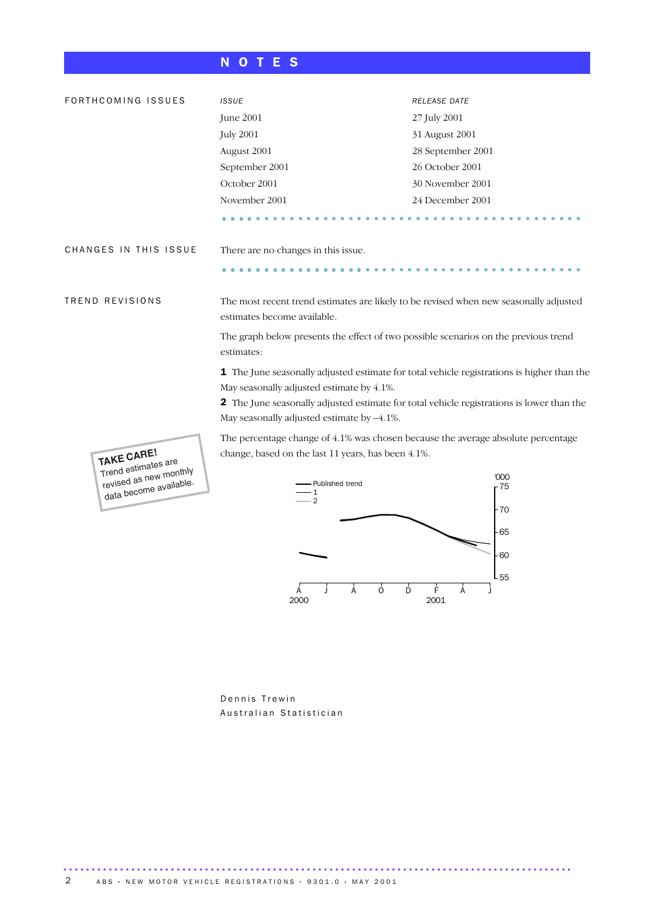## N O T E S

| FORTHCOMING ISSUES       | <b>ISSUE</b>                                                                                                                                                                                                                                                                              | RELEASE DATE      |  |  |
|--------------------------|-------------------------------------------------------------------------------------------------------------------------------------------------------------------------------------------------------------------------------------------------------------------------------------------|-------------------|--|--|
|                          | June 2001                                                                                                                                                                                                                                                                                 | 27 July 2001      |  |  |
|                          | <b>July 2001</b>                                                                                                                                                                                                                                                                          | 31 August 2001    |  |  |
|                          | August 2001                                                                                                                                                                                                                                                                               | 28 September 2001 |  |  |
|                          | September 2001                                                                                                                                                                                                                                                                            | 26 October 2001   |  |  |
|                          | October 2001                                                                                                                                                                                                                                                                              | 30 November 2001  |  |  |
|                          | November 2001                                                                                                                                                                                                                                                                             | 24 December 2001  |  |  |
|                          |                                                                                                                                                                                                                                                                                           |                   |  |  |
| CHANGES IN THIS ISSUE    | There are no changes in this issue.                                                                                                                                                                                                                                                       |                   |  |  |
|                          |                                                                                                                                                                                                                                                                                           |                   |  |  |
| TREND REVISIONS          | The most recent trend estimates are likely to be revised when new seasonally adjusted<br>estimates become available.                                                                                                                                                                      |                   |  |  |
|                          | The graph below presents the effect of two possible scenarios on the previous trend<br>estimates:                                                                                                                                                                                         |                   |  |  |
|                          | 1 The June seasonally adjusted estimate for total vehicle registrations is higher than the<br>May seasonally adjusted estimate by 4.1%.<br><b>2</b> The June seasonally adjusted estimate for total vehicle registrations is lower than the<br>May seasonally adjusted estimate by -4.1%. |                   |  |  |
| $L$ <sub>AVE</sub> CARE! | The percentage change of 4.1% was chosen because the average absolute percentage<br>change, based on the last 11 years, has been 4.1%.                                                                                                                                                    |                   |  |  |



**TAKE CARE!** Trend estimates are revised as new monthly data become available.

> Dennis Trewin Australian Statistician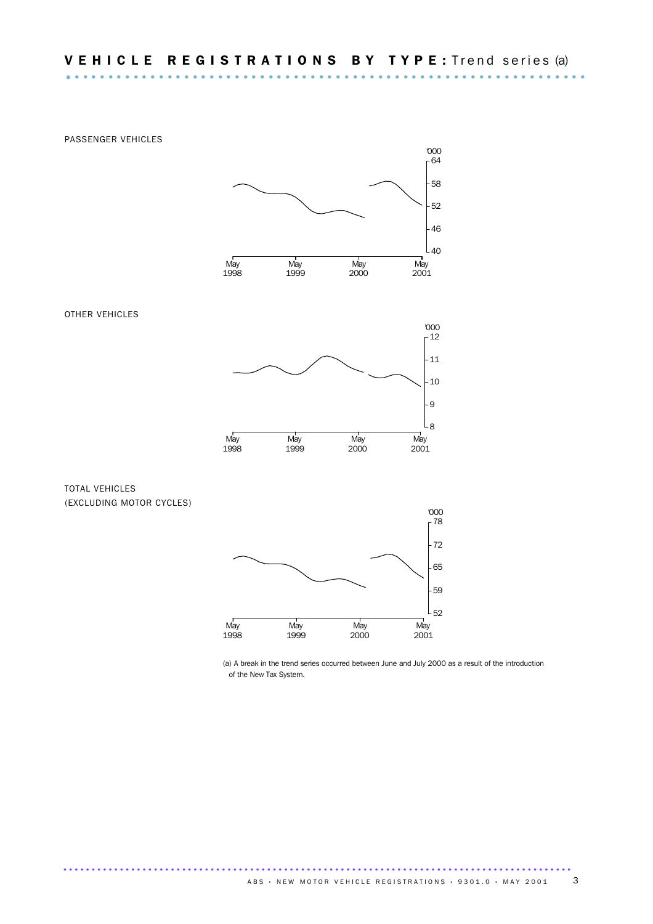PASSENGER VEHICLES OTHER VEHICLES May 1998 May 1999 May 2000 May 2001 '000 L<sub>40</sub> 46 52 58  $-64$ '000



### TOTAL VEHICLES (EXCLUDING MOTOR CYCLES)



..........................................................................................

(a) A break in the trend series occurred between June and July 2000 as a result of the introduction of the New Tax System.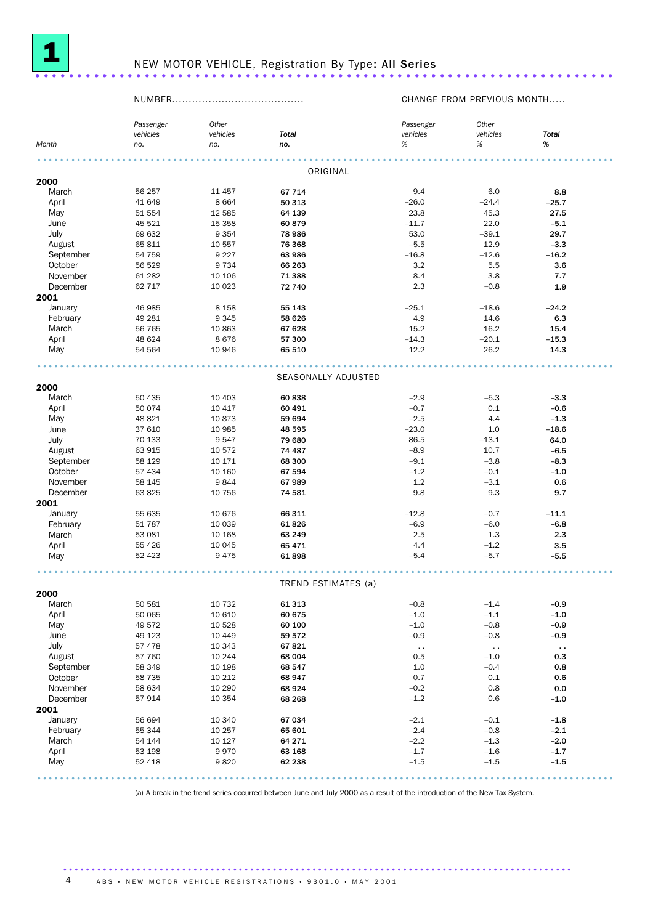

# NEW MOTOR VEHICLE, Registration By Type: All Series ...........................

## NUMBER........................................ CHANGE FROM PREVIOUS MONTH.....

|                | Passenger        | Other          |                     | Passenger              | Other            |                  |  |
|----------------|------------------|----------------|---------------------|------------------------|------------------|------------------|--|
|                | vehicles         | vehicles       | <b>Total</b>        | vehicles               | vehicles         | <b>Total</b>     |  |
| Month          | no.              | no.            | no.                 | $\%$                   | %                | $\%$             |  |
|                |                  |                |                     |                        |                  |                  |  |
|                |                  |                | ORIGINAL            |                        |                  |                  |  |
| 2000           |                  |                |                     |                        |                  |                  |  |
| March          | 56 257           | 11 457         | 67 714              | 9.4                    | 6.0              | 8.8              |  |
| April          | 41 649           | 8664           | 50 313              | $-26.0$                | $-24.4$          | $-25.7$          |  |
| May            | 51 554           | 12 5 85        | 64 139              | 23.8                   | 45.3             | 27.5             |  |
| June           | 45 521           | 15 3 58        | 60879               | $-11.7$                | 22.0             | $-5.1$           |  |
| July           | 69 632           | 9 3 5 4        | 78 986              | 53.0                   | $-39.1$          | 29.7             |  |
| August         | 65 811           | 10 557         | 76 368              | $-5.5$                 | 12.9             | $-3.3$           |  |
| September      | 54 759           | 9 2 2 7        | 63 986              | $-16.8$                | $-12.6$          | $-16.2$          |  |
| October        | 56 529           | 9 7 3 4        | 66 263              | 3.2                    | 5.5              | 3.6              |  |
| November       | 61 282           | 10 10 6        | 71 388              | 8.4                    | 3.8              | 7.7              |  |
| December       | 62 717           | 10 0 23        | 72 740              | 2.3                    | $-0.8$           | 1.9              |  |
| 2001           |                  |                |                     |                        |                  |                  |  |
| January        | 46 985           | 8 1 5 8        | 55 143              | $-25.1$                | $-18.6$          | $-24.2$          |  |
| February       | 49 281           | 9 3 4 5        | 58 626              | 4.9                    | 14.6             | 6.3              |  |
| March          | 56 765           | 10 863         | 67 628              | 15.2                   | 16.2             | 15.4             |  |
| April          | 48 624           | 8676           | 57 300              | $-14.3$                | $-20.1$          | $-15.3$          |  |
| May            | 54 564           | 10 946         | 65 510              | 12.2                   | 26.2             | 14.3             |  |
|                |                  |                |                     |                        |                  |                  |  |
|                |                  |                | SEASONALLY ADJUSTED |                        |                  |                  |  |
| 2000           |                  |                |                     |                        |                  |                  |  |
| March          | 50 435           | 10 403         | 60838               | $-2.9$                 | $-5.3$           | $-3.3$           |  |
| April          | 50 074           | 10 417         | 60 491              | $-0.7$                 | 0.1              | $-0.6$           |  |
| May            | 48 821           | 10873          | 59 694              | $-2.5$                 | 4.4              | $-1.3$           |  |
| June           | 37 610           | 10 985         | 48 595              | $-23.0$                | 1.0              | $-18.6$          |  |
| July           | 70 133           | 9547           | 79 680              | 86.5                   | $-13.1$          | 64.0             |  |
| August         | 63 915           | 10 572         | 74 487              | $-8.9$                 | 10.7             | $-6.5$           |  |
| September      | 58 129           | 10 171         | 68 300              | $-9.1$                 | $-3.8$           | $-8.3$           |  |
| October        | 57 434           | 10 160         | 67 594              | $-1.2$                 | $-0.1$           | $-1.0$           |  |
| November       | 58 145           | 9844           | 67989               | 1.2                    | $-3.1$           | 0.6              |  |
| December       | 63 825           | 10 756         | 74 581              | 9.8                    | 9.3              | 9.7              |  |
| 2001           |                  |                |                     |                        |                  |                  |  |
| January        | 55 635           | 10 676         | 66 311              | $-12.8$                | $-0.7$           | $-11.1$          |  |
| February       | 51 787           | 10 039         | 61826               | $-6.9$                 | $-6.0$           | $-6.8$           |  |
| March          | 53 081           | 10 168         | 63 249              | 2.5                    | 1.3              | 2.3              |  |
| April          | 55 4 26          | 10 045         | 65 471              | 4.4                    | $-1.2$           | 3.5              |  |
| May            | 52 4 23          | 9475           | 61898               | $-5.4$                 | $-5.7$           | $-5.5$           |  |
|                |                  |                |                     |                        |                  |                  |  |
|                |                  |                | TREND ESTIMATES (a) |                        |                  |                  |  |
| 2000           |                  |                |                     |                        |                  |                  |  |
| March          | 50 581           | 10 732         | 61 313              | $-0.8$                 | $-1.4$           | $-0.9$           |  |
| April          | 50 065           | 10 610         | 60 675              | $-1.0$                 | $-1.1$           | $-1.0$           |  |
| May            | 49 572           | 10 5 28        | 60 100              | $-1.0$                 | $-0.8$           | $-0.9$           |  |
| June           | 49 1 23          | 10 4 4 9       | 59 572              | $-0.9$                 | $-0.8$           | $-0.9$           |  |
| July           | 57 478           | 10 343         | 67821               | $\ddot{\phantom{1}}$ . | $\sim$ $\sim$    | $\sim$           |  |
| August         | 57 760           | 10 244         | 68 004              | 0.5                    | $-1.0$           | 0.3              |  |
| September      | 58 349           | 10 198         | 68 547              | 1.0                    | $-0.4$           | 0.8              |  |
| October        | 58 735           | 10 212         | 68 947              | 0.7                    | 0.1              | 0.6              |  |
| November       | 58 634           | 10 290         | 68 9 24             | $-0.2$                 | $0.8\,$          | $_{0.0}$         |  |
| December       | 57 914           | 10 3 54        | 68 268              | $-1.2$                 | 0.6              | $-1.0$           |  |
| 2001           |                  |                |                     |                        |                  |                  |  |
| January        | 56 694           | 10 340         | 67 034              | $-2.1$<br>$-2.4$       | $-0.1$           | $-1.8$           |  |
| February       | 55 344           | 10 257         | 65 601              | $-2.2$                 | $-0.8$           | $-2.1$           |  |
| March<br>April | 54 144<br>53 198 | 10 127<br>9970 | 64 271<br>63 168    | $-1.7$                 | $-1.3$<br>$-1.6$ | $-2.0$<br>$-1.7$ |  |
| May            | 52 418           | 9820           | 62 238              | $-1.5$                 | $-1.5$           | $-1.5$           |  |
|                |                  |                |                     |                        |                  |                  |  |
|                |                  |                |                     |                        |                  |                  |  |

(a) A break in the trend series occurred between June and July 2000 as a result of the introduction of the New Tax System.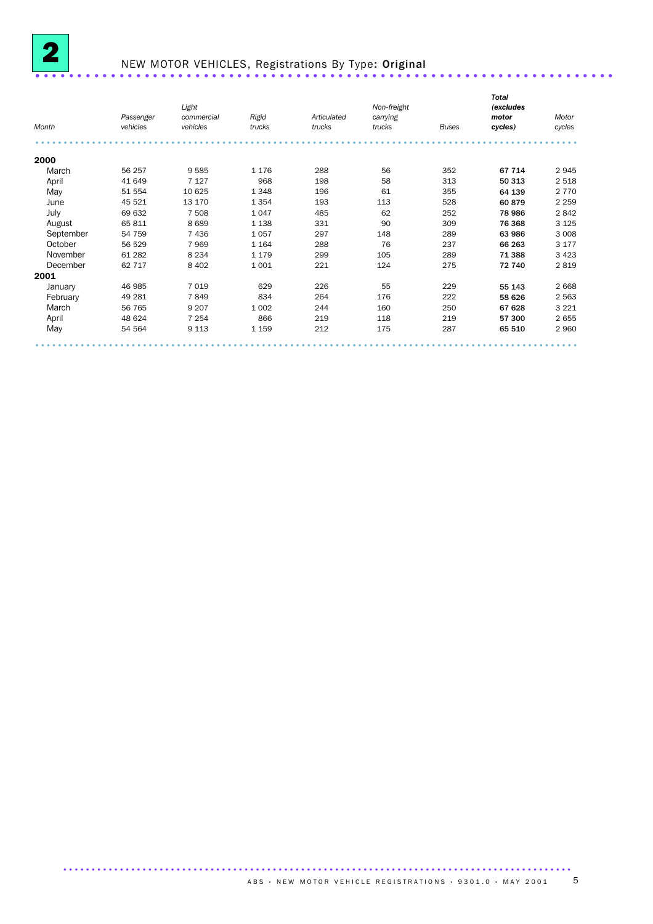

# NEW MOTOR VEHICLES, Registrations By Type: Original ............................

| Month     | Passenger<br>vehicles | Light<br>commercial<br>vehicles | Rigid<br>trucks | Articulated<br>trucks | Non-freight<br>carrying<br>trucks | <b>Buses</b> | <b>Total</b><br>(excludes<br>motor<br>cycles) | Motor<br>cycles |
|-----------|-----------------------|---------------------------------|-----------------|-----------------------|-----------------------------------|--------------|-----------------------------------------------|-----------------|
|           |                       |                                 |                 |                       |                                   |              |                                               |                 |
| 2000      |                       |                                 |                 |                       |                                   |              |                                               |                 |
| March     | 56 257                | 9585                            | 1 1 7 6         | 288                   | 56                                | 352          | 67 714                                        | 2945            |
| April     | 41 649                | 7 1 2 7                         | 968             | 198                   | 58                                | 313          | 50 313                                        | 2 5 1 8         |
| May       | 51 554                | 10 625                          | 1 3 4 8         | 196                   | 61                                | 355          | 64 139                                        | 2 7 7 0         |
| June      | 45 521                | 13 170                          | 1 3 5 4         | 193                   | 113                               | 528          | 60 879                                        | 2 2 5 9         |
| July      | 69 632                | 7 508                           | 1047            | 485                   | 62                                | 252          | 78 986                                        | 2842            |
| August    | 65 811                | 8689                            | 1 1 3 8         | 331                   | 90                                | 309          | 76 368                                        | 3 1 2 5         |
| September | 54 759                | 7 4 3 6                         | 1057            | 297                   | 148                               | 289          | 63 986                                        | 3 0 0 8         |
| October   | 56 529                | 7969                            | 1 1 6 4         | 288                   | 76                                | 237          | 66 263                                        | 3 1 7 7         |
| November  | 61 282                | 8 2 3 4                         | 1 1 7 9         | 299                   | 105                               | 289          | 71 388                                        | 3 4 2 3         |
| December  | 62 717                | 8 4 0 2                         | 1 0 0 1         | 221                   | 124                               | 275          | 72 740                                        | 2819            |
| 2001      |                       |                                 |                 |                       |                                   |              |                                               |                 |
| January   | 46 985                | 7 0 1 9                         | 629             | 226                   | 55                                | 229          | 55 143                                        | 2 6 6 8         |
| February  | 49 281                | 7849                            | 834             | 264                   | 176                               | 222          | 58 626                                        | 2 5 6 3         |
| March     | 56 765                | 9 2 0 7                         | 1 0 0 2         | 244                   | 160                               | 250          | 67 628                                        | 3 2 2 1         |
| April     | 48 624                | 7 2 5 4                         | 866             | 219                   | 118                               | 219          | 57 300                                        | 2655            |
| May       | 54 564                | 9 1 1 3                         | 1 1 5 9         | 212                   | 175                               | 287          | 65 510                                        | 2 9 6 0         |
|           |                       |                                 |                 |                       |                                   |              |                                               |                 |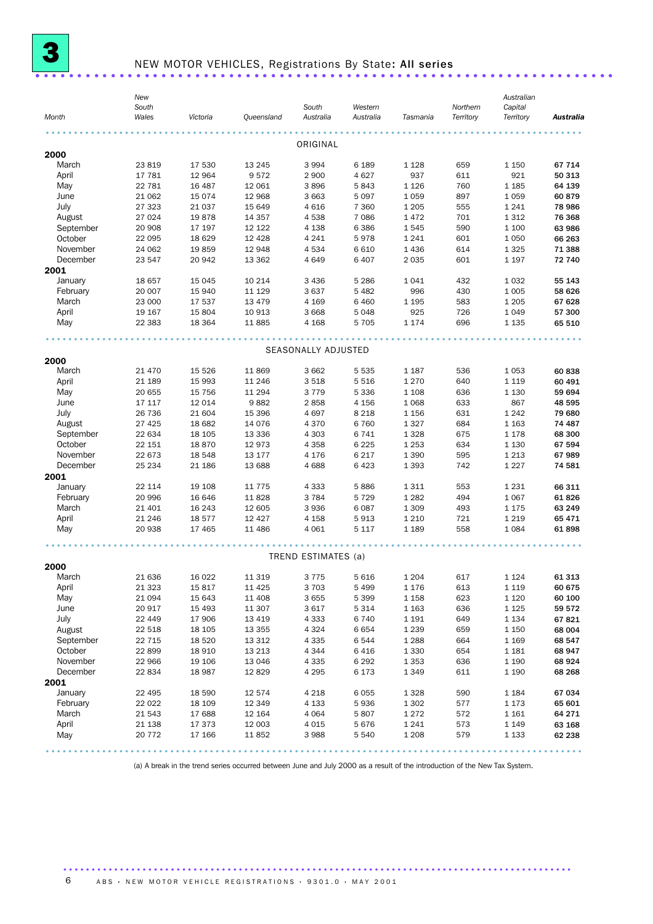

# NEW MOTOR VEHICLES, Registrations By State: All series .........................

| Month     | New<br>South<br>Wales | Victoria | Queensland | South<br>Australia  | Western<br>Australia | Tasmania | Northern<br>Territory | Australian<br>Capital<br>Territory | Australia |
|-----------|-----------------------|----------|------------|---------------------|----------------------|----------|-----------------------|------------------------------------|-----------|
|           |                       |          |            | ORIGINAL            |                      |          |                       |                                    |           |
| 2000      |                       |          |            |                     |                      |          |                       |                                    |           |
| March     | 23 819                | 17 530   | 13 245     | 3 9 9 4             | 6 1 8 9              | 1 1 2 8  | 659                   | 1 1 5 0                            | 67 714    |
| April     | 17 781                | 12 964   | 9572       | 2 9 0 0             | 4627                 | 937      | 611                   | 921                                | 50 313    |
| May       | 22 781                | 16 487   | 12 061     | 3896                | 5843                 | 1 1 2 6  | 760                   | 1 1 8 5                            | 64 139    |
| June      | 21 062                | 15 0 74  | 12 968     | 3 6 6 3             | 5097                 | 1059     | 897                   | 1 0 5 9                            | 60879     |
| July      | 27 323                | 21 037   | 15 649     | 4616                | 7 3 6 0              | 1 2 0 5  | 555                   | 1 2 4 1                            | 78 986    |
| August    | 27 0 24               | 19878    | 14 3 5 7   | 4538                | 7 0 8 6              | 1472     | 701                   | 1 3 1 2                            | 76 368    |
| September | 20 908                | 17 197   | 12 122     | 4 1 38              | 6 3 8 6              | 1545     | 590                   | 1 100                              | 63 986    |
| October   | 22 095                | 18 6 29  | 12 4 28    | 4 2 4 1             | 5978                 | 1 2 4 1  | 601                   | 1 0 5 0                            | 66 263    |
| November  | 24 062                | 19859    | 12 948     | 4 5 3 4             | 6610                 | 1436     | 614                   | 1 3 2 5                            | 71 388    |
| December  | 23 547                | 20 942   | 13 3 62    | 4649                | 6 4 0 7              | 2 0 3 5  | 601                   | 1 1 9 7                            | 72 740    |
| 2001      |                       |          |            |                     |                      |          |                       |                                    |           |
| January   | 18 657                | 15 0 45  | 10 214     | 3 4 3 6             | 5 2 8 6              | 1041     | 432                   | 1 0 3 2                            | 55 143    |
| February  | 20 007                | 15 940   | 11 1 29    | 3637                | 5482                 | 996      | 430                   | 1 0 0 5                            | 58 626    |
| March     | 23 000                | 17 537   | 13 4 7 9   | 4 1 6 9             | 6460                 | 1 1 9 5  | 583                   | 1 2 0 5                            | 67 628    |
| April     | 19 167                | 15 804   | 10 913     | 3 6 6 8             | 5048                 | 925      | 726                   | 1 0 4 9                            | 57 300    |
| May       | 22 3 83               | 18 3 64  | 11 885     | 4 1 6 8             | 5 7 0 5              | 1 1 7 4  | 696                   | 1 1 3 5                            | 65 510    |
|           |                       |          |            | SEASONALLY ADJUSTED |                      |          |                       |                                    |           |
| 2000      |                       |          |            |                     |                      |          |                       |                                    |           |
| March     | 21 470                | 15 5 26  | 11 869     | 3 6 6 2             | 5 5 3 5              | 1 1 8 7  | 536                   | 1 0 5 3                            | 60838     |
| April     | 21 189                | 15 993   | 11 246     | 3518                | 5 5 1 6              | 1 2 7 0  | 640                   | 1 1 1 9                            | 60 491    |
| May       | 20 655                | 15 7 5 6 | 11 294     | 3 7 7 9             | 5 3 3 6              | 1 1 0 8  | 636                   | 1 1 3 0                            | 59 694    |
| June      | 17 117                | 12 014   | 9882       | 2858                | 4 1 5 6              | 1 0 6 8  | 633                   | 867                                | 48 595    |
| July      | 26 736                | 21 604   | 15 396     | 4697                | 8 2 1 8              | 1 1 5 6  | 631                   | 1 2 4 2                            | 79 680    |
| August    | 27 4 25               | 18 682   | 14 0 76    | 4 3 7 0             | 6760                 | 1327     | 684                   | 1 1 6 3                            | 74 487    |
| September | 22 634                | 18 105   | 13 3 3 6   | 4 3 0 3             | 6741                 | 1 3 2 8  | 675                   | 1 1 7 8                            | 68 300    |
| October   | 22 151                | 18870    | 12 973     | 4 3 5 8             | 6 2 2 5              | 1 2 5 3  | 634                   | 1 1 3 0                            | 67 594    |
| November  | 22 673                | 18 548   | 13 177     | 4 1 7 6             | 6 2 1 7              | 1 3 9 0  | 595                   | 1 2 1 3                            | 67989     |
| December  | 25 234                | 21 186   | 13 688     | 4688                | 6423                 | 1 3 9 3  | 742                   | 1 2 2 7                            | 74 581    |
| 2001      |                       |          |            |                     |                      |          |                       |                                    |           |
| January   | 22 114                | 19 108   | 11 775     | 4 3 3 3             | 5886                 | 1311     | 553                   | 1 2 3 1                            | 66 311    |
| February  | 20 996                | 16 646   | 11 828     | 3 7 8 4             | 5 7 2 9              | 1 2 8 2  | 494                   | 1 0 6 7                            | 61826     |
| March     | 21 401                | 16 243   | 12 605     | 3936                | 6087                 | 1 3 0 9  | 493                   | 1 1 7 5                            | 63 249    |
| April     | 21 24 6               | 18 577   | 12 4 27    | 4 1 5 8             | 5913                 | 1 2 1 0  | 721                   | 1 2 1 9                            | 65 471    |
| May       | 20 938                | 17 4 65  | 11 486     | 4 0 6 1             | 5 1 1 7              | 1 1 8 9  | 558                   | 1 0 8 4                            | 61898     |
|           |                       |          |            | TREND ESTIMATES (a) |                      |          |                       |                                    |           |
| 2000      |                       |          |            |                     |                      |          |                       |                                    |           |
| March     | 21 636                | 16 0 22  | 11 319     | 3775                | 5 6 1 6              | 1 2 0 4  | 617                   | 1 1 2 4                            | 61 313    |
| April     | 21 323                | 15817    | 11 4 25    | 3703                | 5 4 9 9              | 1 1 7 6  | 613                   | 1 1 1 9                            | 60 675    |
| May       | 21 094                | 15 643   | 11 408     | 3655                | 5 3 9 9              | 1 1 5 8  | 623                   | 1 1 2 0                            | 60 100    |
| June      | 20 917                | 15 4 93  | 11 307     | 3 6 1 7             | 5 3 1 4              | 1 1 6 3  | 636                   | 1 1 2 5                            | 59 572    |
| July      | 22 449                | 17 906   | 13 4 19    | 4 3 3 3             | 6740                 | 1 1 9 1  | 649                   | 1 1 3 4                            | 67821     |
| August    | 22 518                | 18 105   | 13 355     | 4 3 2 4             | 6 654                | 1 2 3 9  | 659                   | 1 1 5 0                            | 68 004    |
| September | 22 715                | 18 5 20  | 13 312     | 4 3 3 5             | 6544                 | 1 2 8 8  | 664                   | 1 1 6 9                            | 68 547    |
| October   | 22 899                | 18 9 10  | 13 213     | 4 3 4 4             | 6416                 | 1 3 3 0  | 654                   | 1 1 8 1                            | 68 947    |
| November  | 22 966                | 19 106   | 13 046     | 4 3 3 5             | 6 29 2               | 1 3 5 3  | 636                   | 1 1 9 0                            | 68 924    |
| December  | 22 834                | 18 987   | 12 8 29    | 4 2 9 5             | 6 1 7 3              | 1 3 4 9  | 611                   | 1 1 9 0                            | 68 268    |
| 2001      |                       |          |            |                     |                      |          |                       |                                    |           |
| January   | 22 495                | 18 590   | 12 574     | 4 2 1 8             | 6055                 | 1 3 2 8  | 590                   | 1 1 8 4                            | 67 034    |
| February  | 22 022                | 18 109   | 12 349     | 4 1 3 3             | 5936                 | 1 3 0 2  | 577                   | 1 1 7 3                            | 65 601    |
| March     | 21 543                | 17 688   | 12 164     | 4 0 6 4             | 5 807                | 1 2 7 2  | 572                   | 1 1 6 1                            | 64 271    |
| April     | 21 138                | 17 373   | 12 003     | 4 0 1 5             | 5676                 | 1 2 4 1  | 573                   | 1 1 4 9                            | 63 168    |
| May       | 20 772                | 17 166   | 11 852     | 3988                | 5 540                | 1 2 0 8  | 579                   | 1 1 3 3                            | 62 238    |

(a) A break in the trend series occurred between June and July 2000 as a result of the introduction of the New Tax System.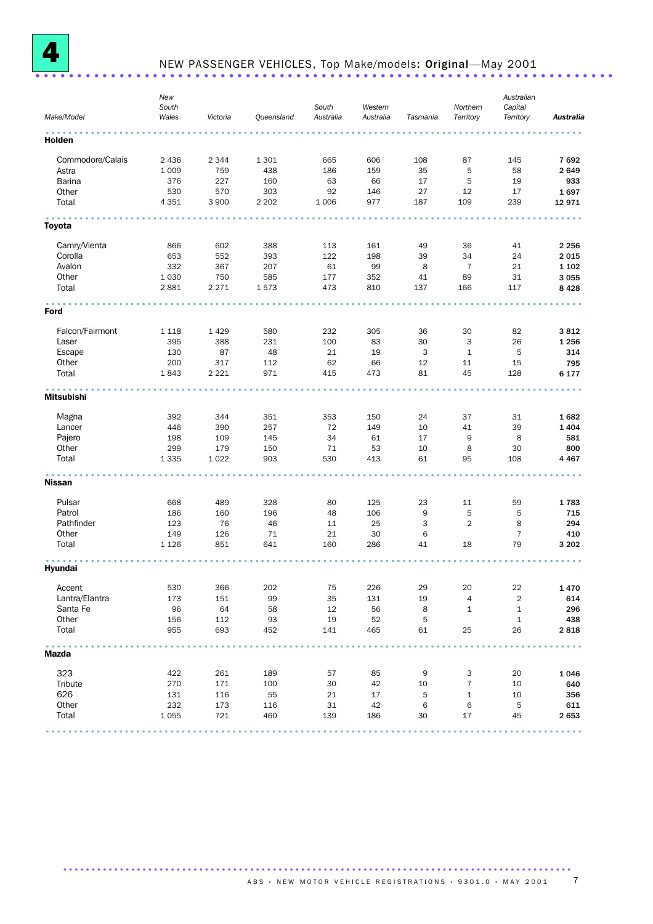

# NEW PASSENGER VEHICLES, Top Make/models: Original—May 2001 ..................................................................... .

| Make/Model        | New<br>South<br>Wales | Victoria   | Queensland | South<br>Australia | Western<br>Australia | Tasmania | Northern<br>Territory | Australian<br>Capital<br>Territory | <b>Australia</b> |
|-------------------|-----------------------|------------|------------|--------------------|----------------------|----------|-----------------------|------------------------------------|------------------|
|                   |                       |            |            |                    |                      |          |                       |                                    |                  |
| Holden            |                       |            |            |                    |                      |          |                       |                                    |                  |
| Commodore/Calais  | 2 4 3 6               | 2 3 4 4    | 1 3 0 1    | 665                | 606                  | 108      | 87                    | 145                                | 7692             |
| Astra             | 1 0 0 9               | 759        | 438        | 186                | 159                  | 35       | 5                     | 58                                 | 2649             |
| Barina            | 376                   | 227        | 160        | 63                 | 66                   | 17       | 5                     | 19                                 | 933              |
| Other             | 530                   | 570        | 303        | 92                 | 146                  | 27       | 12                    | 17                                 | 1697             |
| Total             | 4 3 5 1               | 3 9 0 0    | 2 2 0 2    | 1 0 0 6            | 977                  | 187      | 109                   | 239                                | 12 971           |
| Toyota            |                       |            |            |                    |                      |          |                       |                                    |                  |
| Camry/Vienta      | 866                   | 602        | 388        | 113                | 161                  | 49       | 36                    | 41                                 | 2 2 5 6          |
| Corolla           | 653                   | 552        | 393        | 122                | 198                  | 39       | 34                    | 24                                 | 2015             |
| Avalon            | 332                   | 367        | 207        | 61                 | 99                   | 8        | $\overline{7}$        | 21                                 | 1 1 0 2          |
| Other             | 1 0 3 0               | 750        | 585        | 177                | 352                  | 41       | 89                    | 31                                 | 3 0 5 5          |
| Total             | 2881                  | 2 2 7 1    | 1573       | 473                | 810                  | 137      | 166                   | 117                                | 8428             |
| Ford              |                       |            |            |                    |                      |          |                       |                                    |                  |
|                   |                       |            |            |                    |                      |          |                       |                                    |                  |
| Falcon/Fairmont   | 1 1 1 8               | 1429       | 580        | 232                | 305                  | 36       | 30                    | 82                                 | 3812             |
| Laser             | 395                   | 388        | 231        | 100                | 83                   | 30       | 3                     | 26                                 | 1 2 5 6          |
| Escape            | 130                   | 87         | 48         | 21                 | 19                   | 3        | $\mathbf{1}$          | 5                                  | 314              |
| Other             | 200                   | 317        | 112        | 62                 | 66                   | 12       | 11                    | 15                                 | 795              |
| Total             | 1843                  | 2 2 2 1    | 971        | 415                | 473                  | 81       | 45                    | 128                                | 6 177            |
| <b>Mitsubishi</b> |                       |            |            |                    |                      |          |                       |                                    |                  |
| Magna             | 392                   | 344        | 351        | 353                | 150                  | 24       | 37                    | 31                                 | 1682             |
| Lancer            | 446                   | 390        | 257        | 72                 | 149                  | 10       | 41                    | 39                                 | 1404             |
| Pajero            | 198                   | 109        | 145        | 34                 | 61                   | 17       | 9                     | 8                                  | 581              |
| Other             | 299                   | 179        | 150        | 71                 | 53                   | 10       | 8                     | 30                                 | 800              |
| Total             | 1 3 3 5               | 1 0 2 2    | 903        | 530                | 413                  | 61       | 95                    | 108                                | 4 4 6 7          |
| <b>Nissan</b>     |                       |            |            |                    |                      |          |                       |                                    |                  |
| Pulsar            | 668                   | 489        | 328        | 80                 | 125                  | 23       | 11                    | 59                                 | 1783             |
| Patrol            | 186                   | 160        | 196        | 48                 | 106                  | 9        | 5                     | 5                                  | 715              |
| Pathfinder        | 123                   | 76         | 46         | 11                 | 25                   | 3        | $\overline{2}$        | 8                                  | 294              |
| Other             | 149                   | 126        | 71         | 21                 | 30                   | 6        |                       | $\overline{7}$                     | 410              |
| Total             | 1 1 2 6               | 851        | 641        | 160                | 286                  | 41       | 18                    | 79                                 | 3 2 0 2          |
| Hyundai           |                       |            |            |                    |                      |          |                       |                                    |                  |
| Accent            | 530                   | 366        | 202        | 75                 | 226                  | 29       | 20                    | 22                                 | 1470             |
| Lantra/Elantra    | 173                   | 151        | 99         | 35                 | 131                  | 19       | 4                     | $\overline{c}$                     | 614              |
| Santa Fe          | 96                    | 64         | 58         | 12                 | 56                   | 8        | 1                     | $\mathbf 1$                        | 296              |
|                   |                       |            |            |                    |                      |          |                       |                                    |                  |
| Other<br>Total    | 156<br>955            | 112<br>693 | 93<br>452  | 19<br>141          | 52<br>465            | 5<br>61  | 25                    | $\mathbf{1}$<br>26                 | 438<br>2818      |
| Mazda             |                       |            |            |                    |                      |          |                       |                                    |                  |
|                   |                       |            |            |                    |                      |          |                       |                                    |                  |
| 323               | 422                   | 261        | 189        | 57                 | 85                   | 9        | 3                     | 20                                 | 1046             |
| Tribute           | 270                   | 171        | 100        | 30                 | 42                   | 10       | $\overline{7}$        | 10                                 | 640              |
| 626               | 131                   | 116        | 55         | 21                 | 17                   | 5        | $\mathbf 1$           | 10                                 | 356              |
| Other             | 232                   | 173        | 116        | 31                 | 42                   | 6        | 6                     | 5                                  | 611              |
| Total             | 1 0 5 5               | 721        | 460        | 139                | 186                  | 30       | 17                    | 45                                 | 2653             |
|                   |                       |            |            |                    |                      |          |                       |                                    |                  |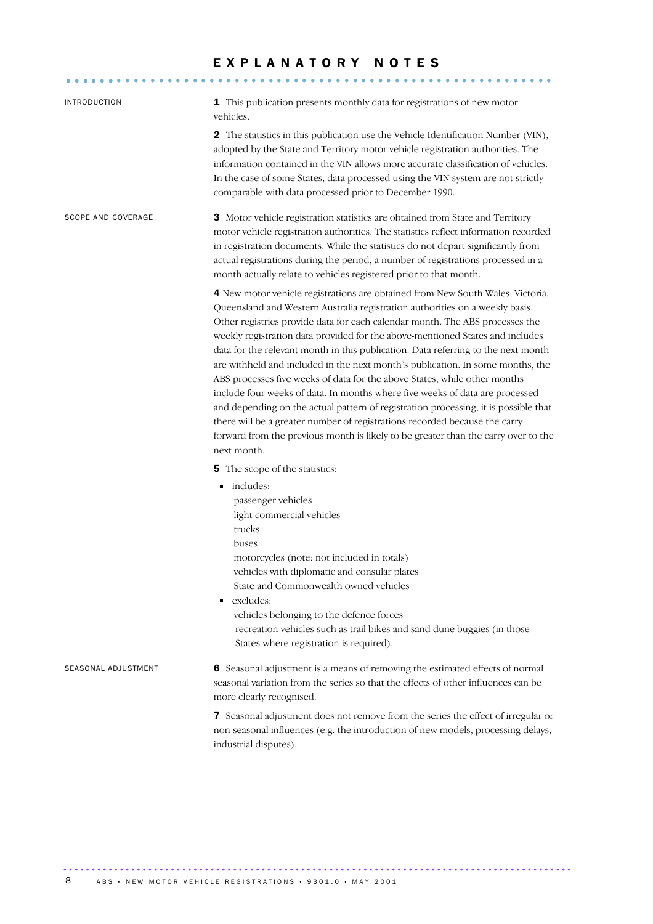# E X P L A N A T O R Y N O T E S

.......................................................... ......

| <b>INTRODUCTION</b>       | 1 This publication presents monthly data for registrations of new motor<br>vehicles.                                                                                                                                                                                                                                                                                                                                                                                                                                                                                                                                                                                                                                                                                                                                                                                                                                                          |
|---------------------------|-----------------------------------------------------------------------------------------------------------------------------------------------------------------------------------------------------------------------------------------------------------------------------------------------------------------------------------------------------------------------------------------------------------------------------------------------------------------------------------------------------------------------------------------------------------------------------------------------------------------------------------------------------------------------------------------------------------------------------------------------------------------------------------------------------------------------------------------------------------------------------------------------------------------------------------------------|
|                           | 2 The statistics in this publication use the Vehicle Identification Number (VIN),<br>adopted by the State and Territory motor vehicle registration authorities. The<br>information contained in the VIN allows more accurate classification of vehicles.<br>In the case of some States, data processed using the VIN system are not strictly<br>comparable with data processed prior to December 1990.                                                                                                                                                                                                                                                                                                                                                                                                                                                                                                                                        |
| <b>SCOPE AND COVERAGE</b> | 3 Motor vehicle registration statistics are obtained from State and Territory<br>motor vehicle registration authorities. The statistics reflect information recorded<br>in registration documents. While the statistics do not depart significantly from<br>actual registrations during the period, a number of registrations processed in a<br>month actually relate to vehicles registered prior to that month.                                                                                                                                                                                                                                                                                                                                                                                                                                                                                                                             |
|                           | 4 New motor vehicle registrations are obtained from New South Wales, Victoria,<br>Queensland and Western Australia registration authorities on a weekly basis.<br>Other registries provide data for each calendar month. The ABS processes the<br>weekly registration data provided for the above-mentioned States and includes<br>data for the relevant month in this publication. Data referring to the next month<br>are withheld and included in the next month's publication. In some months, the<br>ABS processes five weeks of data for the above States, while other months<br>include four weeks of data. In months where five weeks of data are processed<br>and depending on the actual pattern of registration processing, it is possible that<br>there will be a greater number of registrations recorded because the carry<br>forward from the previous month is likely to be greater than the carry over to the<br>next month. |
|                           | <b>5</b> The scope of the statistics:<br>includes:<br>٠<br>passenger vehicles<br>light commercial vehicles<br>trucks<br>buses<br>motorcycles (note: not included in totals)<br>vehicles with diplomatic and consular plates<br>State and Commonwealth owned vehicles<br>excludes:<br>Ξ<br>vehicles belonging to the defence forces<br>recreation vehicles such as trail bikes and sand dune buggies (in those<br>States where registration is required).                                                                                                                                                                                                                                                                                                                                                                                                                                                                                      |
| SEASONAL ADJUSTMENT       | 6 Seasonal adjustment is a means of removing the estimated effects of normal<br>seasonal variation from the series so that the effects of other influences can be<br>more clearly recognised.                                                                                                                                                                                                                                                                                                                                                                                                                                                                                                                                                                                                                                                                                                                                                 |
|                           | 7 Seasonal adjustment does not remove from the series the effect of irregular or<br>non-seasonal influences (e.g. the introduction of new models, processing delays,<br>industrial disputes).                                                                                                                                                                                                                                                                                                                                                                                                                                                                                                                                                                                                                                                                                                                                                 |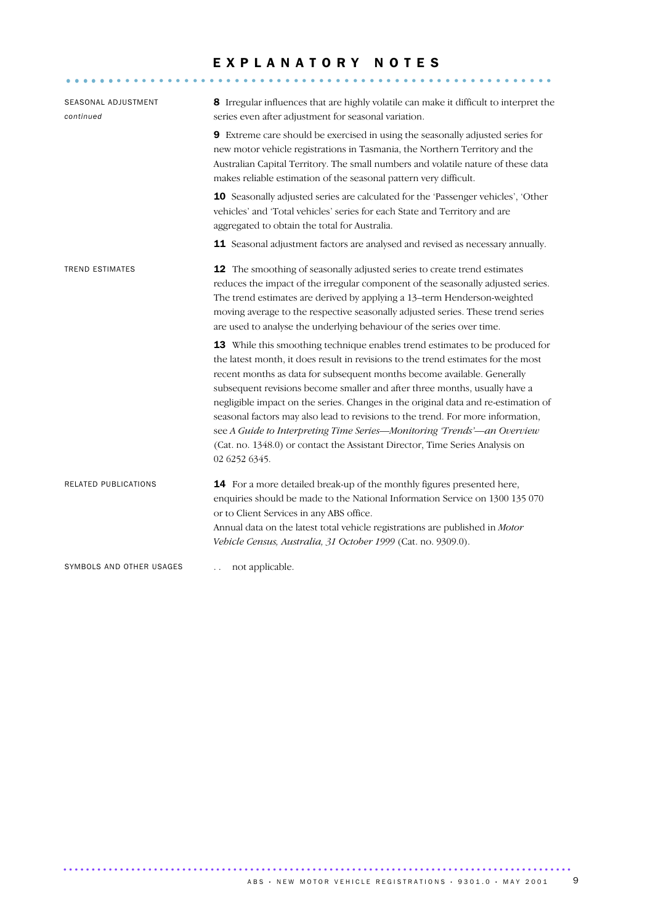## EXPLANATORY NOTES

.......................................................... ......

| SEASONAL ADJUSTMENT<br>continued | 8 Irregular influences that are highly volatile can make it difficult to interpret the<br>series even after adjustment for seasonal variation.                                                                                                                                                                                                                                                                                                                                                                                                                                                                                                                                  |
|----------------------------------|---------------------------------------------------------------------------------------------------------------------------------------------------------------------------------------------------------------------------------------------------------------------------------------------------------------------------------------------------------------------------------------------------------------------------------------------------------------------------------------------------------------------------------------------------------------------------------------------------------------------------------------------------------------------------------|
|                                  | 9 Extreme care should be exercised in using the seasonally adjusted series for<br>new motor vehicle registrations in Tasmania, the Northern Territory and the<br>Australian Capital Territory. The small numbers and volatile nature of these data<br>makes reliable estimation of the seasonal pattern very difficult.                                                                                                                                                                                                                                                                                                                                                         |
|                                  | 10 Seasonally adjusted series are calculated for the 'Passenger vehicles', 'Other<br>vehicles' and 'Total vehicles' series for each State and Territory and are<br>aggregated to obtain the total for Australia.                                                                                                                                                                                                                                                                                                                                                                                                                                                                |
|                                  | 11 Seasonal adjustment factors are analysed and revised as necessary annually.                                                                                                                                                                                                                                                                                                                                                                                                                                                                                                                                                                                                  |
| <b>TREND ESTIMATES</b>           | 12 The smoothing of seasonally adjusted series to create trend estimates<br>reduces the impact of the irregular component of the seasonally adjusted series.<br>The trend estimates are derived by applying a 13-term Henderson-weighted<br>moving average to the respective seasonally adjusted series. These trend series<br>are used to analyse the underlying behaviour of the series over time.                                                                                                                                                                                                                                                                            |
|                                  | 13 While this smoothing technique enables trend estimates to be produced for<br>the latest month, it does result in revisions to the trend estimates for the most<br>recent months as data for subsequent months become available. Generally<br>subsequent revisions become smaller and after three months, usually have a<br>negligible impact on the series. Changes in the original data and re-estimation of<br>seasonal factors may also lead to revisions to the trend. For more information,<br>see A Guide to Interpreting Time Series-Monitoring 'Trends'-an Overview<br>(Cat. no. 1348.0) or contact the Assistant Director, Time Series Analysis on<br>02 6252 6345. |
| RELATED PUBLICATIONS             | 14 For a more detailed break-up of the monthly figures presented here,<br>enquiries should be made to the National Information Service on 1300 135 070<br>or to Client Services in any ABS office.<br>Annual data on the latest total vehicle registrations are published in Motor<br>Vehicle Census, Australia, 31 October 1999 (Cat. no. 9309.0).                                                                                                                                                                                                                                                                                                                             |
| SYMBOLS AND OTHER USAGES         | not applicable.                                                                                                                                                                                                                                                                                                                                                                                                                                                                                                                                                                                                                                                                 |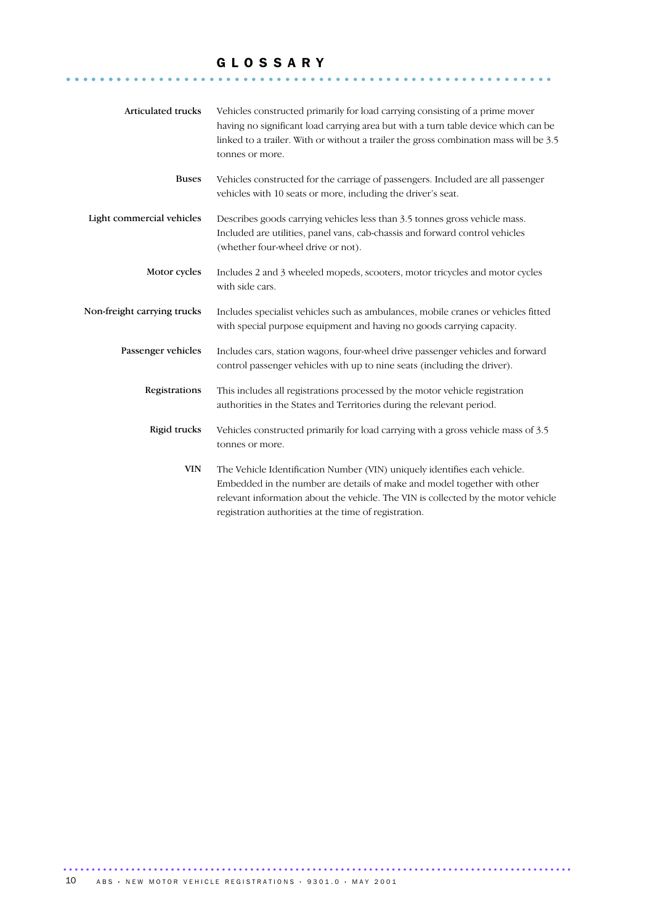## G L O S S A R Y

.......................................................... .......

| Articulated trucks          | Vehicles constructed primarily for load carrying consisting of a prime mover<br>having no significant load carrying area but with a turn table device which can be<br>linked to a trailer. With or without a trailer the gross combination mass will be 3.5<br>tonnes or more.                      |
|-----------------------------|-----------------------------------------------------------------------------------------------------------------------------------------------------------------------------------------------------------------------------------------------------------------------------------------------------|
| <b>Buses</b>                | Vehicles constructed for the carriage of passengers. Included are all passenger<br>vehicles with 10 seats or more, including the driver's seat.                                                                                                                                                     |
| Light commercial vehicles   | Describes goods carrying vehicles less than 3.5 tonnes gross vehicle mass.<br>Included are utilities, panel vans, cab-chassis and forward control vehicles<br>(whether four-wheel drive or not).                                                                                                    |
| Motor cycles                | Includes 2 and 3 wheeled mopeds, scooters, motor tricycles and motor cycles<br>with side cars.                                                                                                                                                                                                      |
| Non-freight carrying trucks | Includes specialist vehicles such as ambulances, mobile cranes or vehicles fitted<br>with special purpose equipment and having no goods carrying capacity.                                                                                                                                          |
| Passenger vehicles          | Includes cars, station wagons, four-wheel drive passenger vehicles and forward<br>control passenger vehicles with up to nine seats (including the driver).                                                                                                                                          |
| Registrations               | This includes all registrations processed by the motor vehicle registration<br>authorities in the States and Territories during the relevant period.                                                                                                                                                |
| Rigid trucks                | Vehicles constructed primarily for load carrying with a gross vehicle mass of 3.5<br>tonnes or more.                                                                                                                                                                                                |
| <b>VIN</b>                  | The Vehicle Identification Number (VIN) uniquely identifies each vehicle.<br>Embedded in the number are details of make and model together with other<br>relevant information about the vehicle. The VIN is collected by the motor vehicle<br>registration authorities at the time of registration. |